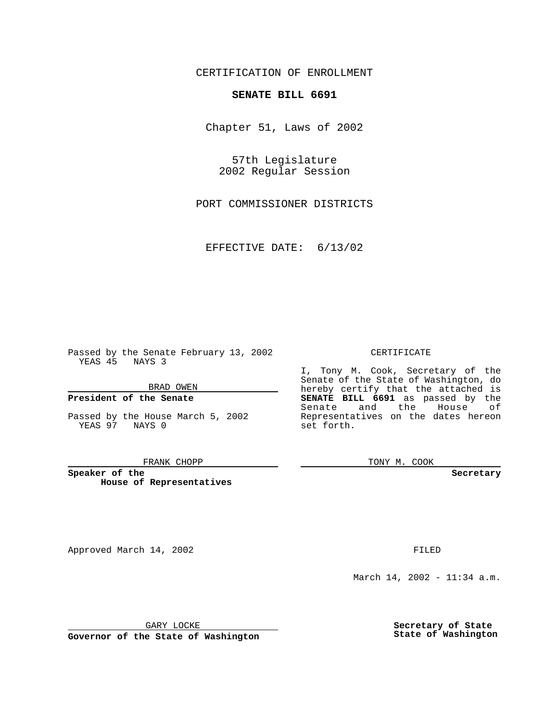CERTIFICATION OF ENROLLMENT

## **SENATE BILL 6691**

Chapter 51, Laws of 2002

57th Legislature 2002 Regular Session

PORT COMMISSIONER DISTRICTS

EFFECTIVE DATE: 6/13/02

Passed by the Senate February 13, 2002 YEAS 45 NAYS 3

BRAD OWEN

### **President of the Senate**

Passed by the House March 5, 2002 YEAS 97 NAYS 0

#### FRANK CHOPP

**Speaker of the House of Representatives**

Approved March 14, 2002 **FILED** 

### CERTIFICATE

I, Tony M. Cook, Secretary of the Senate of the State of Washington, do hereby certify that the attached is **SENATE BILL 6691** as passed by the Senate and the House of Representatives on the dates hereon set forth.

TONY M. COOK

**Secretary**

March 14, 2002 - 11:34 a.m.

GARY LOCKE

**Governor of the State of Washington**

**Secretary of State State of Washington**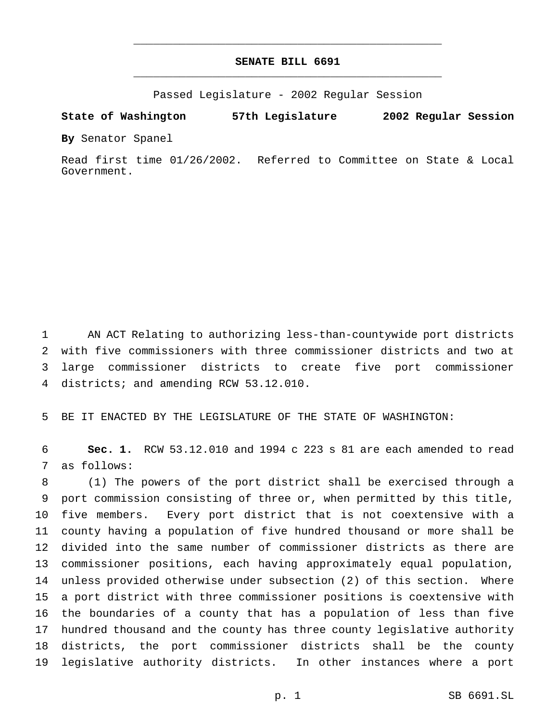# **SENATE BILL 6691** \_\_\_\_\_\_\_\_\_\_\_\_\_\_\_\_\_\_\_\_\_\_\_\_\_\_\_\_\_\_\_\_\_\_\_\_\_\_\_\_\_\_\_\_\_\_\_

\_\_\_\_\_\_\_\_\_\_\_\_\_\_\_\_\_\_\_\_\_\_\_\_\_\_\_\_\_\_\_\_\_\_\_\_\_\_\_\_\_\_\_\_\_\_\_

Passed Legislature - 2002 Regular Session

**State of Washington 57th Legislature 2002 Regular Session**

**By** Senator Spanel

Read first time 01/26/2002. Referred to Committee on State & Local Government.

 AN ACT Relating to authorizing less-than-countywide port districts with five commissioners with three commissioner districts and two at large commissioner districts to create five port commissioner districts; and amending RCW 53.12.010.

BE IT ENACTED BY THE LEGISLATURE OF THE STATE OF WASHINGTON:

 **Sec. 1.** RCW 53.12.010 and 1994 c 223 s 81 are each amended to read as follows:

 (1) The powers of the port district shall be exercised through a port commission consisting of three or, when permitted by this title, five members. Every port district that is not coextensive with a county having a population of five hundred thousand or more shall be divided into the same number of commissioner districts as there are commissioner positions, each having approximately equal population, unless provided otherwise under subsection (2) of this section. Where a port district with three commissioner positions is coextensive with the boundaries of a county that has a population of less than five hundred thousand and the county has three county legislative authority districts, the port commissioner districts shall be the county legislative authority districts. In other instances where a port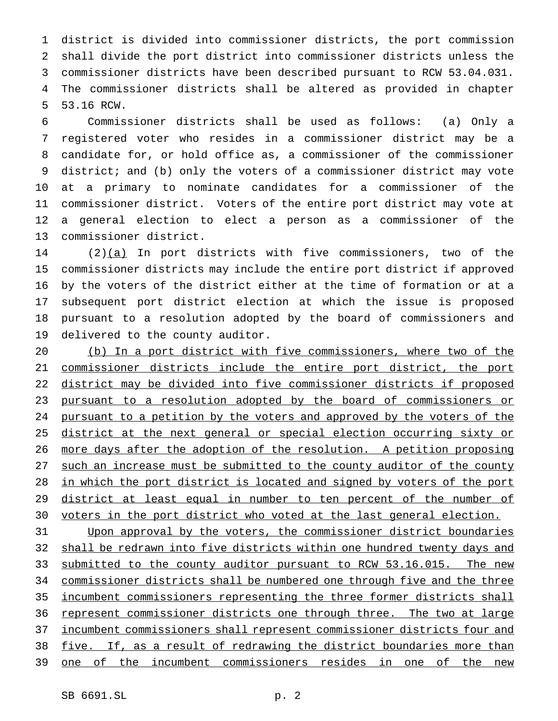district is divided into commissioner districts, the port commission shall divide the port district into commissioner districts unless the commissioner districts have been described pursuant to RCW 53.04.031. The commissioner districts shall be altered as provided in chapter 53.16 RCW.

 Commissioner districts shall be used as follows: (a) Only a registered voter who resides in a commissioner district may be a candidate for, or hold office as, a commissioner of the commissioner district; and (b) only the voters of a commissioner district may vote at a primary to nominate candidates for a commissioner of the commissioner district. Voters of the entire port district may vote at a general election to elect a person as a commissioner of the commissioner district.

14 (2) $(a)$  In port districts with five commissioners, two of the commissioner districts may include the entire port district if approved by the voters of the district either at the time of formation or at a subsequent port district election at which the issue is proposed pursuant to a resolution adopted by the board of commissioners and delivered to the county auditor.

 (b) In a port district with five commissioners, where two of the commissioner districts include the entire port district, the port district may be divided into five commissioner districts if proposed pursuant to a resolution adopted by the board of commissioners or 24 pursuant to a petition by the voters and approved by the voters of the district at the next general or special election occurring sixty or more days after the adoption of the resolution. A petition proposing such an increase must be submitted to the county auditor of the county in which the port district is located and signed by voters of the port 29 district at least equal in number to ten percent of the number of voters in the port district who voted at the last general election.

 Upon approval by the voters, the commissioner district boundaries 32 shall be redrawn into five districts within one hundred twenty days and 33 submitted to the county auditor pursuant to RCW 53.16.015. The new commissioner districts shall be numbered one through five and the three incumbent commissioners representing the three former districts shall 36 represent commissioner districts one through three. The two at large incumbent commissioners shall represent commissioner districts four and five. If, as a result of redrawing the district boundaries more than one of the incumbent commissioners resides in one of the new